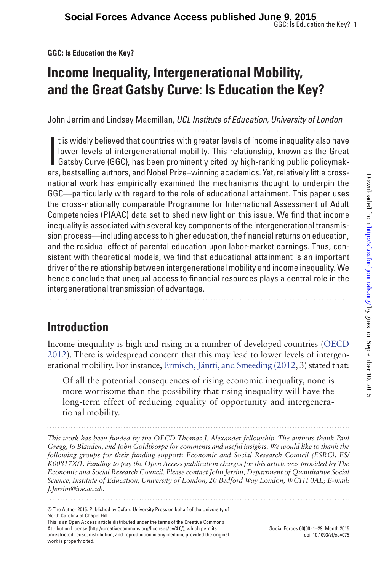**GGC: Is Education the Key?**

# **Income Inequality, Intergenerational Mobility, and the Great Gatsby Curve: Is Education the Key?**

John Jerrim and Lindsey Macmillan, *UCL Institute of Education, University of London*

It is widely believed that countries with greater levels of income inequality also have<br>lower levels of intergenerational mobility. This relationship, known as the Great<br>Gatsby Curve (GGC), has been prominently cited by hi t is widely believed that countries with greater levels of income inequality also have lower levels of intergenerational mobility. This relationship, known as the Great Gatsby Curve (GGC), has been prominently cited by high-ranking public policymaknational work has empirically examined the mechanisms thought to underpin the GGC—particularly with regard to the role of educational attainment. This paper uses the cross-nationally comparable Programme for International Assessment of Adult Competencies (PIAAC) data set to shed new light on this issue. We find that income inequality is associated with several key components of the intergenerational transmission process—including access to higher education, the financial returns on education, and the residual effect of parental education upon labor-market earnings. Thus, consistent with theoretical models, we find that educational attainment is an important driver of the relationship between intergenerational mobility and income inequality. We hence conclude that unequal access to financial resources plays a central role in the intergenerational transmission of advantage.

# **Introduction**

Income inequality is high and rising in a number of developed countries [\(OECD](#page-28-0)  [2012](#page-28-0)). There is widespread concern that this may lead to lower levels of intergenerational mobility. For instance, [Ermisch, Jäntti, and Smeeding \(2012](#page-27-0), 3) stated that:

Of all the potential consequences of rising economic inequality, none is more worrisome than the possibility that rising inequality will have the long-term effect of reducing equality of opportunity and intergenerational mobility.

*This work has been funded by the OECD Thomas J. Alexander fellowship. The authors thank Paul Gregg, Jo Blanden, and John Goldthorpe for comments and useful insights. We would like to thank the following groups for their funding support: Economic and Social Research Council (ESRC). ES/ K00817X/1. Funding to pay the Open Access publication charges for this article was provided by The Economic and Social Research Council. Please contact John Jerrim, Department of Quantitative Social Science, Institute of Education, University of London, 20 Bedford Way London, WC1H 0AL; E-mail: J.Jerrim@ioe.ac.uk.*

<sup>©</sup> The Author 2015. Published by Oxford University Press on behalf of the University of North Carolina at Chapel Hill.

This is an Open Access article distributed under the terms of the Creative Commons Attribution License (http://creativecommons.org/licenses/by/4.0/), which permits unrestricted reuse, distribution, and reproduction in any medium, provided the original work is properly cited.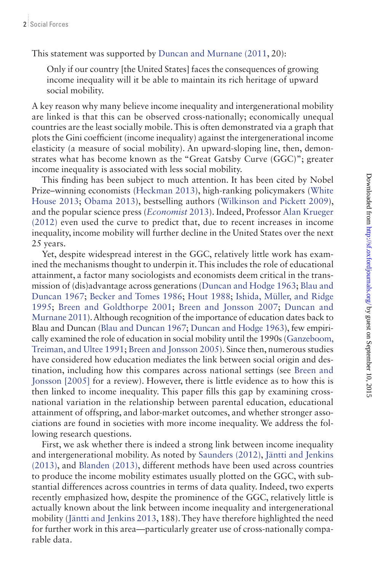This statement was supported by [Duncan and Murnane \(2011,](#page-27-1) 20):

Only if our country [the United States] faces the consequences of growing income inequality will it be able to maintain its rich heritage of upward social mobility.

A key reason why many believe income inequality and intergenerational mobility are linked is that this can be observed cross-nationally; economically unequal countries are the least socially mobile. This is often demonstrated via a graph that plots the Gini coefficient (income inequality) against the intergenerational income elasticity (a measure of social mobility). An upward-sloping line, then, demonstrates what has become known as the "Great Gatsby Curve (GGC)"; greater income inequality is associated with less social mobility.

This finding has been subject to much attention. It has been cited by Nobel Prize–winning economists [\(Heckman 2013](#page-27-2)), high-ranking policymakers [\(White](#page-28-1) [House 2013](#page-28-1); [Obama 2013](#page-28-2)), bestselling authors [\(Wilkinson and Pickett 2009](#page-28-3)), and the popular science press (*[Economist](#page-27-3)* 2013). Indeed, Professor [Alan Krueger](#page-28-4) [\(2012\)](#page-28-4) even used the curve to predict that, due to recent increases in income inequality, income mobility will further decline in the United States over the next 25 years.

Yet, despite widespread interest in the GGC, relatively little work has examined the mechanisms thought to underpin it. This includes the role of educational attainment, a factor many sociologists and economists deem critical in the transmission of (dis)advantage across generations ([Duncan and Hodge 1963;](#page-27-4) [Blau and](#page-26-0) [Duncan 1967;](#page-26-0) [Becker and Tomes 1986;](#page-26-1) [Hout 1988](#page-27-5); [Ishida, Müller, and Ridge](#page-27-6) [1995;](#page-27-6) [Breen and Goldthorpe 2001](#page-26-2); [Breen and Jonsson 2007](#page-26-3); [Duncan and](#page-27-1) [Murnane 2011\)](#page-27-1). Although recognition of the importance of education dates back to Blau and Duncan [\(Blau and Duncan 1967](#page-26-0); [Duncan and Hodge 1963](#page-27-4)), few empirically examined the role of education in social mobility until the 1990s [\(Ganzeboom,](#page-27-7) [Treiman, and Ultee 1991;](#page-27-7) [Breen and Jonsson 2005\)](#page-26-4). Since then, numerous studies have considered how education mediates the link between social origin and destination, including how this compares across national settings (see [Breen and](#page-26-4) [Jonsson \[2005\]](#page-26-4) for a review). However, there is little evidence as to how this is then linked to income inequality. This paper fills this gap by examining crossnational variation in the relationship between parental education, educational attainment of offspring, and labor-market outcomes, and whether stronger associations are found in societies with more income inequality. We address the following research questions.

First, we ask whether there is indeed a strong link between income inequality and intergenerational mobility. As noted by [Saunders \(2012\),](#page-28-5) [Jäntti and Jenkins](#page-28-6) [\(2013\),](#page-28-6) and [Blanden \(2013\)](#page-26-5), different methods have been used across countries to produce the income mobility estimates usually plotted on the GGC, with substantial differences across countries in terms of data quality. Indeed, two experts recently emphasized how, despite the prominence of the GGC, relatively little is actually known about the link between income inequality and intergenerational mobility [\(Jäntti and Jenkins 2013](#page-28-6), 188). They have therefore highlighted the need for further work in this area—particularly greater use of cross-nationally comparable data.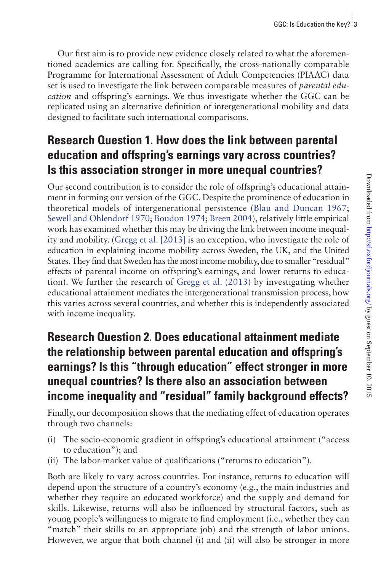Our first aim is to provide new evidence closely related to what the aforementioned academics are calling for. Specifically, the cross-nationally comparable Programme for International Assessment of Adult Competencies (PIAAC) data set is used to investigate the link between comparable measures of *parental education* and offspring's earnings. We thus investigate whether the GGC can be replicated using an alternative definition of intergenerational mobility and data designed to facilitate such international comparisons.

# **Research Question 1. How does the link between parental education and offspring's earnings vary across countries? Is this association stronger in more unequal countries?**

Our second contribution is to consider the role of offspring's educational attainment in forming our version of the GGC. Despite the prominence of education in theoretical models of intergenerational persistence [\(Blau and Duncan 1967](#page-26-0); [Sewell and Ohlendorf 1970;](#page-28-7) [Boudon 1974;](#page-26-6) [Breen 2004](#page-26-7)), relatively little empirical work has examined whether this may be driving the link between income inequality and mobility. ([Gregg et al. \[2013\]](#page-27-8) is an exception, who investigate the role of education in explaining income mobility across Sweden, the UK, and the United States. They find that Sweden has the most income mobility, due to smaller "residual" effects of parental income on offspring's earnings, and lower returns to education). We further the research of [Gregg et al. \(2013\)](#page-27-8) by investigating whether educational attainment mediates the intergenerational transmission process, how this varies across several countries, and whether this is independently associated with income inequality.

# **Research Question 2. Does educational attainment mediate the relationship between parental education and offspring's earnings? Is this "through education" effect stronger in more unequal countries? Is there also an association between income inequality and "residual" family background effects?**

Finally, our decomposition shows that the mediating effect of education operates through two channels:

- (i) The socio-economic gradient in offspring's educational attainment ("access to education"); and
- (ii) The labor-market value of qualifications ("returns to education").

Both are likely to vary across countries. For instance, returns to education will depend upon the structure of a country's economy (e.g., the main industries and whether they require an educated workforce) and the supply and demand for skills. Likewise, returns will also be influenced by structural factors, such as young people's willingness to migrate to find employment (i.e., whether they can "match" their skills to an appropriate job) and the strength of labor unions. However, we argue that both channel (i) and (ii) will also be stronger in more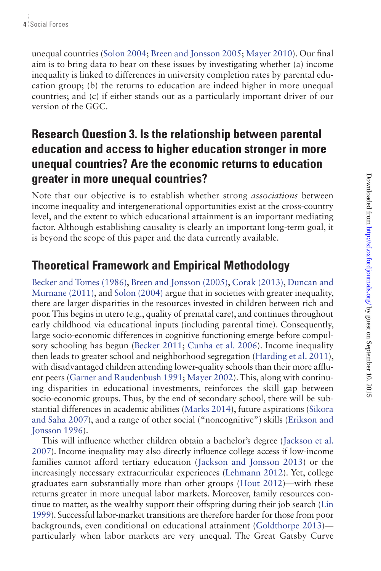unequal countries [\(Solon 2004](#page-28-8); [Breen and Jonsson 2005;](#page-26-4) [Mayer 2010](#page-28-9)). Our final aim is to bring data to bear on these issues by investigating whether (a) income inequality is linked to differences in university completion rates by parental education group; (b) the returns to education are indeed higher in more unequal countries; and (c) if either stands out as a particularly important driver of our version of the GGC.

# **Research Question 3. Is the relationship between parental education and access to higher education stronger in more unequal countries? Are the economic returns to education greater in more unequal countries?**

Note that our objective is to establish whether strong *associations* between income inequality and intergenerational opportunities exist at the cross-country level, and the extent to which educational attainment is an important mediating factor. Although establishing causality is clearly an important long-term goal, it is beyond the scope of this paper and the data currently available.

# **Theoretical Framework and Empirical Methodology**

[Becker and Tomes \(1986\),](#page-26-1) [Breen and Jonsson \(2005\)](#page-26-4), [Corak \(2013\)](#page-27-9), [Duncan and](#page-27-1) [Murnane \(2011\),](#page-27-1) and [Solon \(2004\)](#page-28-8) argue that in societies with greater inequality, there are larger disparities in the resources invested in children between rich and poor. This begins in utero (e.g., quality of prenatal care), and continues throughout early childhood via educational inputs (including parental time). Consequently, large socio-economic differences in cognitive functioning emerge before compulsory schooling has begun [\(Becker 2011;](#page-26-8) [Cunha et al. 2006\)](#page-27-10). Income inequality then leads to greater school and neighborhood segregation [\(Harding et al. 2011](#page-27-11)), with disadvantaged children attending lower-quality schools than their more affluent peers ([Garner and Raudenbush 1991](#page-27-12); [Mayer 2002](#page-28-10)). This, along with continuing disparities in educational investments, reinforces the skill gap between socio-economic groups. Thus, by the end of secondary school, there will be substantial differences in academic abilities [\(Marks 2014\)](#page-28-11), future aspirations ([Sikora](#page-28-12) [and Saha 2007\)](#page-28-12), and a range of other social ("noncognitive") skills [\(Erikson and](#page-27-13) [Jonsson 1996](#page-27-13)).

This will influence whether children obtain a bachelor's degree [\(Jackson et al.](#page-27-14) [2007\)](#page-27-14). Income inequality may also directly influence college access if low-income families cannot afford tertiary education [\(Jackson and Jonsson 2013\)](#page-27-15) or the increasingly necessary extracurricular experiences [\(Lehmann 2012\)](#page-28-13). Yet, college graduates earn substantially more than other groups ([Hout 2012](#page-27-16))—with these returns greater in more unequal labor markets. Moreover, family resources continue to matter, as the wealthy support their offspring during their job search [\(Lin](#page-28-14) [1999\)](#page-28-14). Successful labor-market transitions are therefore harder for those from poor backgrounds, even conditional on educational attainment [\(Goldthorpe 2013\)](#page-27-17) particularly when labor markets are very unequal. The Great Gatsby Curve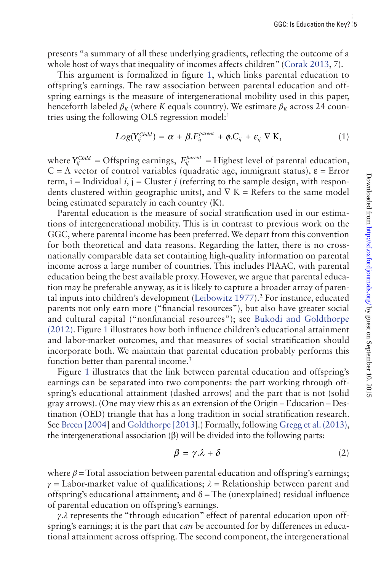presents "a summary of all these underlying gradients, reflecting the outcome of a whole host of ways that inequality of incomes affects children" [\(Corak 2013](#page-27-9), 7).

This argument is formalized in figure [1](#page-5-0), which links parental education to offspring's earnings. The raw association between parental education and offspring earnings is the measure of intergenerational mobility used in this paper, henceforth labeled  $\beta_K$  (where *K* equals country). We estimate  $\beta_K$  across 24 countries using the following OLS regression model:<sup>1</sup>

$$
Log(Y_{ij}^{Child}) = \alpha + \beta \cdot E_{ij}^{parent} + \phi \cdot C_{ij} + \varepsilon_{ij} \nabla \mathbf{K},
$$
\n(1)

where  $Y_{ij}^{Child}$  = Offspring earnings,  $E_{ij}^{parent}$  = Highest level of parental education,  $C = A$  vector of control variables (quadratic age, immigrant status),  $\varepsilon = Error$ term,  $i =$  Individual  $i$ ,  $j =$  Cluster  $j$  (referring to the sample design, with respondents clustered within geographic units), and  $\nabla K$  = Refers to the same model being estimated separately in each country (K).

Parental education is the measure of social stratification used in our estimations of intergenerational mobility. This is in contrast to previous work on the GGC, where parental income has been preferred. We depart from this convention for both theoretical and data reasons. Regarding the latter, there is no crossnationally comparable data set containing high-quality information on parental income across a large number of countries. This includes PIAAC, with parental education being the best available proxy. However, we argue that parental education may be preferable anyway, as it is likely to capture a broader array of parental inputs into children's development ([Leibowitz 1977](#page-28-15)).2 For instance, educated parents not only earn more ("financial resources"), but also have greater social and cultural capital ("nonfinancial resources"); see [Bukodi and Goldthorpe](#page-26-9)  [\(2012\).](#page-26-9) Figure [1](#page-5-0) illustrates how both influence children's educational attainment and labor-market outcomes, and that measures of social stratification should incorporate both. We maintain that parental education probably performs this function better than parental income.<sup>3</sup>

Figure [1](#page-5-0) illustrates that the link between parental education and offspring's earnings can be separated into two components: the part working through offspring's educational attainment (dashed arrows) and the part that is not (solid gray arrows). (One may view this as an extension of the Origin – Education – Destination (OED) triangle that has a long tradition in social stratification research. See [Breen \[2004](#page-26-7)] and [Goldthorpe \[2013\]](#page-27-17).) Formally, following [Gregg et al. \(2013\),](#page-27-8) the intergenerational association (β) will be divided into the following parts:

$$
\beta = \gamma \cdot \lambda + \delta \tag{2}
$$

where  $\beta$  = Total association between parental education and offspring's earnings; *γ* = Labor-market value of qualifications;  $λ$  = Relationship between parent and offspring's educational attainment; and  $\delta$  = The (unexplained) residual influence of parental education on offspring's earnings.

*γ*.*λ* represents the "through education" effect of parental education upon offspring's earnings; it is the part that *can* be accounted for by differences in educational attainment across offspring. The second component, the intergenerational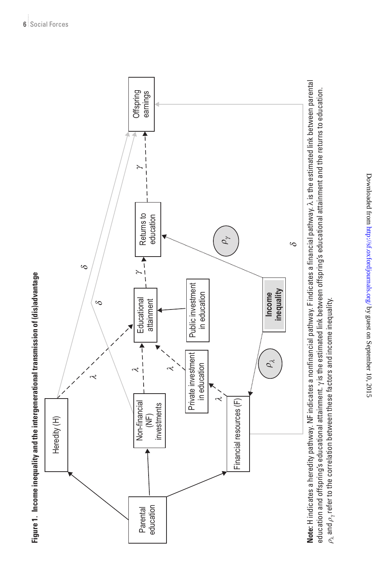<span id="page-5-0"></span>

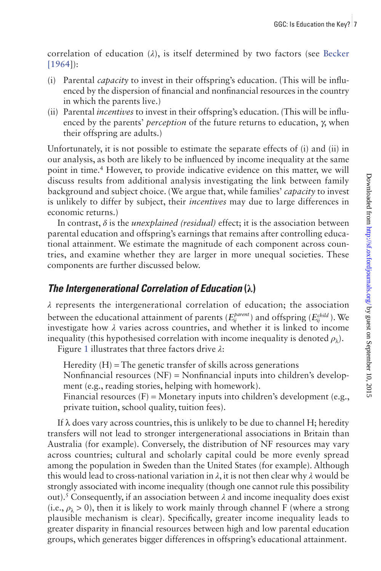correlation of education (*λ*), is itself determined by two factors (see [Becker](#page-26-10) [\[1964](#page-26-10)]):

- (i) Parental *capacity* to invest in their offspring's education. (This will be influenced by the dispersion of financial and nonfinancial resources in the country in which the parents live.)
- (ii) Parental *incentives* to invest in their offspring's education. (This will be influenced by the parents' *perception* of the future returns to education, γ, when their offspring are adults.)

Unfortunately, it is not possible to estimate the separate effects of (i) and (ii) in our analysis, as both are likely to be influenced by income inequality at the same point in time.4 However, to provide indicative evidence on this matter, we will discuss results from additional analysis investigating the link between family background and subject choice. (We argue that, while families' *capacity* to invest is unlikely to differ by subject, their *incentives* may due to large differences in economic returns.)

In contrast,  $\delta$  is the *unexplained (residual)* effect; it is the association between parental education and offspring's earnings that remains after controlling educational attainment. We estimate the magnitude of each component across countries, and examine whether they are larger in more unequal societies. These components are further discussed below.

### *The Intergenerational Correlation of Education* **(λ)**

*λ* represents the intergenerational correlation of education; the association between the educational attainment of parents ( $E_{ij}^{parent}$ ) and offspring ( $E_{ij}^{child}$ ). We investigate how *λ* varies across countries, and whether it is linked to income inequality (this hypothesised correlation with income inequality is denoted  $\rho_{\lambda}$ ).

Figure [1](#page-5-0) illustrates that three factors drive *λ*:

Heredity  $(H)$  = The genetic transfer of skills across generations Nonfinancial resources (NF) = Nonfinancial inputs into children's development (e.g., reading stories, helping with homework). Financial resources  $(F)$  = Monetary inputs into children's development (e.g.,

private tuition, school quality, tuition fees).

If  $\lambda$  does vary across countries, this is unlikely to be due to channel H; heredity transfers will not lead to stronger intergenerational associations in Britain than Australia (for example). Conversely, the distribution of NF resources may vary across countries; cultural and scholarly capital could be more evenly spread among the population in Sweden than the United States (for example). Although this would lead to cross-national variation in *λ*, it is not then clear why *λ* would be strongly associated with income inequality (though one cannot rule this possibility out).<sup>5</sup> Consequently, if an association between  $\lambda$  and income inequality does exist (i.e.,  $\rho_{\lambda} > 0$ ), then it is likely to work mainly through channel F (where a strong plausible mechanism is clear). Specifically, greater income inequality leads to greater disparity in financial resources between high and low parental education groups, which generates bigger differences in offspring's educational attainment.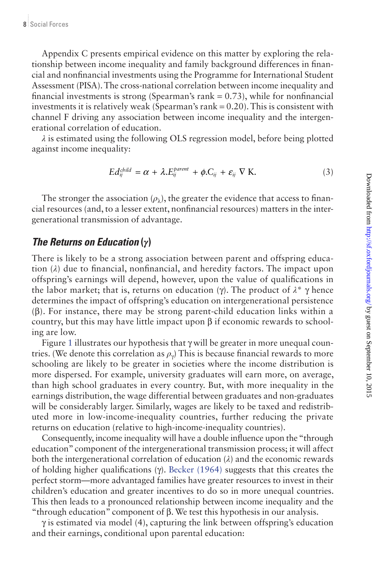Appendix C presents empirical evidence on this matter by exploring the relationship between income inequality and family background differences in financial and nonfinancial investments using the Programme for International Student Assessment (PISA). The cross-national correlation between income inequality and financial investments is strong (Spearman's rank = 0.73), while for nonfinancial investments it is relatively weak (Spearman's rank  $= 0.20$ ). This is consistent with channel F driving any association between income inequality and the intergenerational correlation of education.

*λ* is estimated using the following OLS regression model, before being plotted against income inequality:

$$
Ed_{ij}^{child} = \alpha + \lambda.E_{ij}^{parent} + \phi.C_{ij} + \varepsilon_{ij} \nabla K.
$$
 (3)

The stronger the association  $(\rho_{\lambda})$ , the greater the evidence that access to financial resources (and, to a lesser extent, nonfinancial resources) matters in the intergenerational transmission of advantage.

#### *The Returns on Education* **(***γ***)**

There is likely to be a strong association between parent and offspring education (*λ*) due to financial, nonfinancial, and heredity factors. The impact upon offspring's earnings will depend, however, upon the value of qualifications in the labor market; that is, returns on education (γ). The product of *λ*\* γ hence determines the impact of offspring's education on intergenerational persistence (β). For instance, there may be strong parent-child education links within a country, but this may have little impact upon β if economic rewards to schooling are low.

Figure [1](#page-5-0) illustrates our hypothesis that  $\gamma$  will be greater in more unequal countries. (We denote this correlation as  $\rho_y$ ) This is because financial rewards to more schooling are likely to be greater in societies where the income distribution is more dispersed. For example, university graduates will earn more, on average, than high school graduates in every country. But, with more inequality in the earnings distribution, the wage differential between graduates and non-graduates will be considerably larger. Similarly, wages are likely to be taxed and redistributed more in low-income-inequality countries, further reducing the private returns on education (relative to high-income-inequality countries).

Consequently, income inequality will have a double influence upon the "through education" component of the intergenerational transmission process; it will affect both the intergenerational correlation of education (*λ*) and the economic rewards of holding higher qualifications (γ). [Becker \(1964\)](#page-26-10) suggests that this creates the perfect storm—more advantaged families have greater resources to invest in their children's education and greater incentives to do so in more unequal countries. This then leads to a pronounced relationship between income inequality and the "through education" component of β. We test this hypothesis in our analysis.

 $\gamma$  is estimated via model (4), capturing the link between offspring's education and their earnings, conditional upon parental education: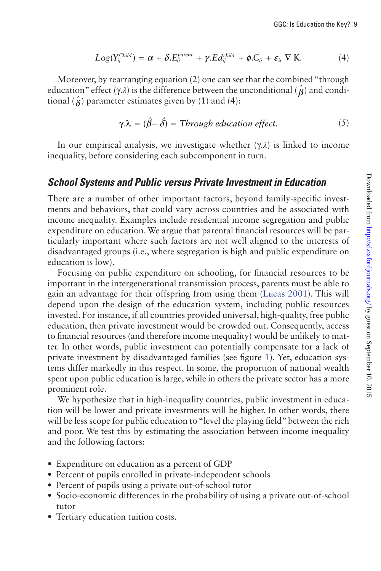$$
Log(Y_{ij}^{Child}) = \alpha + \delta.E_{ij}^{parent} + \gamma.E d_{ij}^{child} + \phi.C_{ij} + \varepsilon_{ij} \nabla K.
$$
 (4)

Moreover, by rearranging equation (2) one can see that the combined "through education" effect (γ.*λ*) is the difference between the unconditional (*β ∧* ) and conditional  $(\hat{\delta})$  parameter estimates given by (1) and (4):

$$
\gamma \lambda = (\hat{\beta} - \hat{\delta}) = \text{Through education effect.} \tag{5}
$$

In our empirical analysis, we investigate whether (γ.*λ*) is linked to income inequality, before considering each subcomponent in turn.

#### *School Systems and Public versus Private Investment in Education*

There are a number of other important factors, beyond family-specific investments and behaviors, that could vary across countries and be associated with income inequality. Examples include residential income segregation and public expenditure on education. We argue that parental financial resources will be particularly important where such factors are not well aligned to the interests of disadvantaged groups (i.e., where segregation is high and public expenditure on education is low).

Focusing on public expenditure on schooling, for financial resources to be important in the intergenerational transmission process, parents must be able to gain an advantage for their offspring from using them [\(Lucas 2001\)](#page-28-16). This will depend upon the design of the education system, including public resources invested. For instance, if all countries provided universal, high-quality, free public education, then private investment would be crowded out. Consequently, access to financial resources (and therefore income inequality) would be unlikely to matter. In other words, public investment can potentially compensate for a lack of private investment by disadvantaged families (see figure [1\)](#page-5-0). Yet, education systems differ markedly in this respect. In some, the proportion of national wealth spent upon public education is large, while in others the private sector has a more prominent role.

We hypothesize that in high-inequality countries, public investment in education will be lower and private investments will be higher. In other words, there will be less scope for public education to "level the playing field" between the rich and poor. We test this by estimating the association between income inequality and the following factors:

- Expenditure on education as a percent of GDP
- Percent of pupils enrolled in private-independent schools
- Percent of pupils using a private out-of-school tutor
- Socio-economic differences in the probability of using a private out-of-school tutor
- Tertiary education tuition costs.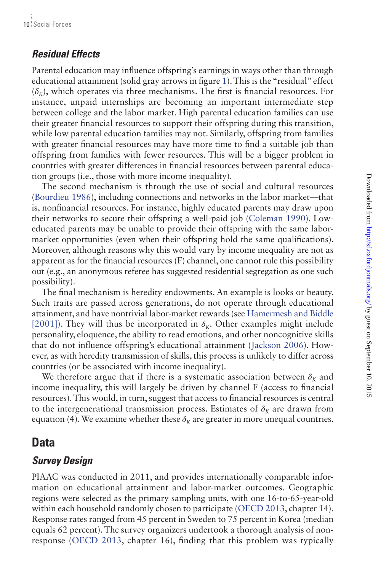## *Residual Effects*

Parental education may influence offspring's earnings in ways other than through educational attainment (solid gray arrows in figure [1](#page-5-0)). This is the "residual" effect  $(\delta_K)$ , which operates via three mechanisms. The first is financial resources. For instance, unpaid internships are becoming an important intermediate step between college and the labor market. High parental education families can use their greater financial resources to support their offspring during this transition, while low parental education families may not. Similarly, offspring from families with greater financial resources may have more time to find a suitable job than offspring from families with fewer resources. This will be a bigger problem in countries with greater differences in financial resources between parental education groups (i.e., those with more income inequality).

The second mechanism is through the use of social and cultural resources [\(Bourdieu 1986](#page-26-11)), including connections and networks in the labor market—that is, nonfinancial resources. For instance, highly educated parents may draw upon their networks to secure their offspring a well-paid job [\(Coleman 1990](#page-26-12)). Loweducated parents may be unable to provide their offspring with the same labormarket opportunities (even when their offspring hold the same qualifications). Moreover, although reasons why this would vary by income inequality are not as apparent as for the financial resources (F) channel, one cannot rule this possibility out (e.g., an anonymous referee has suggested residential segregation as one such possibility).

The final mechanism is heredity endowments. An example is looks or beauty. Such traits are passed across generations, do not operate through educational attainment, and have nontrivial labor-market rewards (see [Hamermesh and Biddle](#page-27-18) [\[2001\]](#page-27-18)). They will thus be incorporated in  $\delta_K$ . Other examples might include personality, eloquence, the ability to read emotions, and other noncognitive skills that do not influence offspring's educational attainment ([Jackson 2006](#page-27-19)). However, as with heredity transmission of skills, this process is unlikely to differ across countries (or be associated with income inequality).

We therefore argue that if there is a systematic association between  $\delta_K$  and income inequality, this will largely be driven by channel F (access to financial resources). This would, in turn, suggest that access to financial resources is central to the intergenerational transmission process. Estimates of  $\delta_K$  are drawn from equation (4). We examine whether these  $\delta_k$  are greater in more unequal countries.

# **Data**

### *Survey Design*

PIAAC was conducted in 2011, and provides internationally comparable information on educational attainment and labor-market outcomes. Geographic regions were selected as the primary sampling units, with one 16-to-65-year-old within each household randomly chosen to participate ([OECD 2013,](#page-28-17) chapter 14). Response rates ranged from 45 percent in Sweden to 75 percent in Korea (median equals 62 percent). The survey organizers undertook a thorough analysis of nonresponse [\(OECD 2013,](#page-28-17) chapter 16), finding that this problem was typically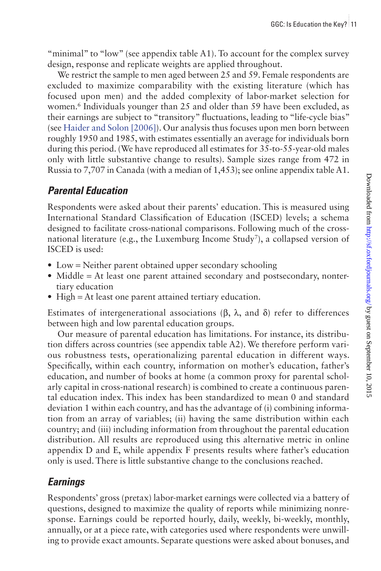"minimal" to "low" (see appendix table A1). To account for the complex survey design, response and replicate weights are applied throughout.

We restrict the sample to men aged between 25 and 59. Female respondents are excluded to maximize comparability with the existing literature (which has focused upon men) and the added complexity of labor-market selection for women.6 Individuals younger than 25 and older than 59 have been excluded, as their earnings are subject to "transitory" fluctuations, leading to "life-cycle bias" (see [Haider and Solon \[2006\]\)](#page-27-20). Our analysis thus focuses upon men born between roughly 1950 and 1985, with estimates essentially an average for individuals born during this period. (We have reproduced all estimates for 35-to-55-year-old males only with little substantive change to results). Sample sizes range from 472 in Russia to 7,707 in Canada (with a median of 1,453); see online appendix table A1.

#### *Parental Education*

Respondents were asked about their parents' education. This is measured using International Standard Classification of Education (ISCED) levels; a schema designed to facilitate cross-national comparisons. Following much of the crossnational literature (e.g., the Luxemburg Income Study7), a collapsed version of ISCED is used:

- $\bullet$  Low = Neither parent obtained upper secondary schooling
- Middle = At least one parent attained secondary and postsecondary, nontertiary education
- High = At least one parent attained tertiary education.

Estimates of intergenerational associations (β, λ, and δ) refer to differences between high and low parental education groups.

Our measure of parental education has limitations. For instance, its distribution differs across countries (see appendix table A2). We therefore perform various robustness tests, operationalizing parental education in different ways. Specifically, within each country, information on mother's education, father's education, and number of books at home (a common proxy for parental scholarly capital in cross-national research) is combined to create a continuous parental education index. This index has been standardized to mean 0 and standard deviation 1 within each country, and has the advantage of (i) combining information from an array of variables; (ii) having the same distribution within each country; and (iii) including information from throughout the parental education distribution. All results are reproduced using this alternative metric in online appendix D and E, while appendix F presents results where father's education only is used. There is little substantive change to the conclusions reached.

## *Earnings*

Respondents' gross (pretax) labor-market earnings were collected via a battery of questions, designed to maximize the quality of reports while minimizing nonresponse. Earnings could be reported hourly, daily, weekly, bi-weekly, monthly, annually, or at a piece rate, with categories used where respondents were unwilling to provide exact amounts. Separate questions were asked about bonuses, and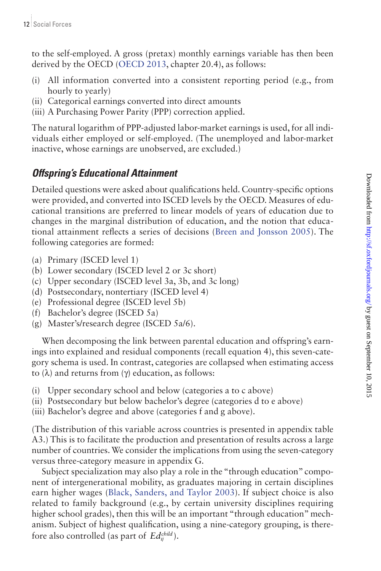to the self-employed. A gross (pretax) monthly earnings variable has then been derived by the OECD [\(OECD 2013,](#page-28-17) chapter 20.4), as follows:

- (i) All information converted into a consistent reporting period (e.g., from hourly to yearly)
- (ii) Categorical earnings converted into direct amounts
- (iii) A Purchasing Power Parity (PPP) correction applied.

The natural logarithm of PPP-adjusted labor-market earnings is used, for all individuals either employed or self-employed. (The unemployed and labor-market inactive, whose earnings are unobserved, are excluded.)

## *Offspring's Educational Attainment*

Detailed questions were asked about qualifications held. Country-specific options were provided, and converted into ISCED levels by the OECD. Measures of educational transitions are preferred to linear models of years of education due to changes in the marginal distribution of education, and the notion that educational attainment reflects a series of decisions ([Breen and Jonsson 2005](#page-26-4)). The following categories are formed:

- (a) Primary (ISCED level 1)
- (b) Lower secondary (ISCED level 2 or 3c short)
- (c) Upper secondary (ISCED level 3a, 3b, and 3c long)
- (d) Postsecondary, nontertiary (ISCED level 4)
- (e) Professional degree (ISCED level 5b)
- (f) Bachelor's degree (ISCED 5a)
- (g) Master's/research degree (ISCED 5a/6).

When decomposing the link between parental education and offspring's earnings into explained and residual components (recall equation 4), this seven-category schema is used. In contrast, categories are collapsed when estimating access to (λ) and returns from (γ) education, as follows:

- (i) Upper secondary school and below (categories a to c above)
- (ii) Postsecondary but below bachelor's degree (categories d to e above)
- (iii) Bachelor's degree and above (categories f and g above).

(The distribution of this variable across countries is presented in appendix table A3.) This is to facilitate the production and presentation of results across a large number of countries. We consider the implications from using the seven-category versus three-category measure in appendix G.

Subject specialization may also play a role in the "through education" component of intergenerational mobility, as graduates majoring in certain disciplines earn higher wages ([Black, Sanders, and Taylor 2003](#page-26-13)). If subject choice is also related to family background (e.g., by certain university disciplines requiring higher school grades), then this will be an important "through education" mechanism. Subject of highest qualification, using a nine-category grouping, is therefore also controlled (as part of *Edij child* ).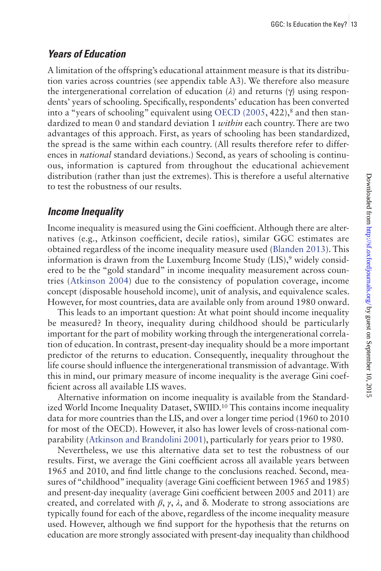### *Years of Education*

A limitation of the offspring's educational attainment measure is that its distribution varies across countries (see appendix table A3). We therefore also measure the intergenerational correlation of education (*λ*) and returns (γ) using respondents' years of schooling. Specifically, respondents' education has been converted into a "years of schooling" equivalent using OECD  $(2005, 422)$ , and then standardized to mean 0 and standard deviation 1 *within* each country. There are two advantages of this approach. First, as years of schooling has been standardized, the spread is the same within each country. (All results therefore refer to differences in *national* standard deviations.) Second, as years of schooling is continuous, information is captured from throughout the educational achievement distribution (rather than just the extremes). This is therefore a useful alternative to test the robustness of our results.

## *Income Inequality*

Income inequality is measured using the Gini coefficient. Although there are alternatives (e.g., Atkinson coefficient, decile ratios), similar GGC estimates are obtained regardless of the income inequality measure used [\(Blanden 2013](#page-26-5)). This information is drawn from the Luxemburg Income Study  $(LIS)$ ,<sup>9</sup> widely considered to be the "gold standard" in income inequality measurement across countries ([Atkinson 2004\)](#page-26-14) due to the consistency of population coverage, income concept (disposable household income), unit of analysis, and equivalence scales. However, for most countries, data are available only from around 1980 onward.

This leads to an important question: At what point should income inequality be measured? In theory, inequality during childhood should be particularly important for the part of mobility working through the intergenerational correlation of education. In contrast, present-day inequality should be a more important predictor of the returns to education. Consequently, inequality throughout the life course should influence the intergenerational transmission of advantage. With this in mind, our primary measure of income inequality is the average Gini coefficient across all available LIS waves.

Alternative information on income inequality is available from the Standardized World Income Inequality Dataset, SWIID.10 This contains income inequality data for more countries than the LIS, and over a longer time period (1960 to 2010 for most of the OECD). However, it also has lower levels of cross-national comparability ([Atkinson and Brandolini 2001](#page-26-15)), particularly for years prior to 1980.

Nevertheless, we use this alternative data set to test the robustness of our results. First, we average the Gini coefficient across all available years between 1965 and 2010, and find little change to the conclusions reached. Second, measures of "childhood" inequality (average Gini coefficient between 1965 and 1985) and present-day inequality (average Gini coefficient between 2005 and 2011) are created, and correlated with *β*, *γ*, *λ*, and δ. Moderate to strong associations are typically found for each of the above, regardless of the income inequality measure used. However, although we find support for the hypothesis that the returns on education are more strongly associated with present-day inequality than childhood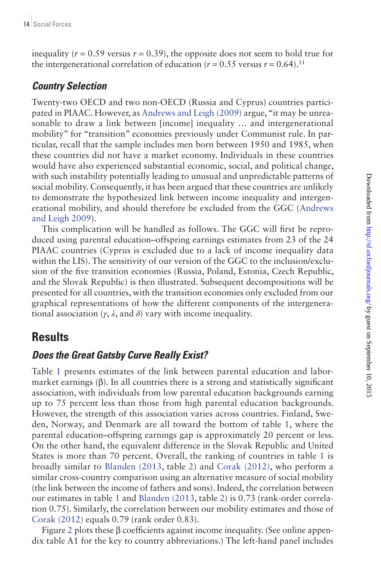inequality  $(r = 0.59$  versus  $r = 0.39$ ), the opposite does not seem to hold true for the intergenerational correlation of education ( $r = 0.55$  versus  $r = 0.64$ ).<sup>11</sup>

#### *Country Selection*

Twenty-two OECD and two non-OECD (Russia and Cyprus) countries participated in PIAAC. However, as [Andrews and Leigh \(2009\)](#page-26-16) argue, "it may be unreasonable to draw a link between [income] inequality … and intergenerational mobility" for "transition" economies previously under Communist rule. In particular, recall that the sample includes men born between 1950 and 1985, when these countries did not have a market economy. Individuals in these countries would have also experienced substantial economic, social, and political change, with such instability potentially leading to unusual and unpredictable patterns of social mobility. Consequently, it has been argued that these countries are unlikely to demonstrate the hypothesized link between income inequality and intergenerational mobility, and should therefore be excluded from the GGC ([Andrews](#page-26-16) [and Leigh 2009](#page-26-16)).

This complication will be handled as follows. The GGC will first be reproduced using parental education–offspring earnings estimates from 23 of the 24 PIAAC countries (Cyprus is excluded due to a lack of income inequality data within the LIS). The sensitivity of our version of the GGC to the inclusion/exclusion of the five transition economies (Russia, Poland, Estonia, Czech Republic, and the Slovak Republic) is then illustrated. Subsequent decompositions will be presented for all countries, with the transition economies only excluded from our graphical representations of how the different components of the intergenerational association  $(γ, λ,$  and  $δ)$  vary with income inequality.

## **Results**

#### *Does the Great Gatsby Curve Really Exist?*

Table [1](#page-14-0) presents estimates of the link between parental education and labormarket earnings  $(\beta)$ . In all countries there is a strong and statistically significant association, with individuals from low parental education backgrounds earning up to 75 percent less than those from high parental education backgrounds. However, the strength of this association varies across countries. Finland, Sweden, Norway, and Denmark are all toward the bottom of table [1](#page-14-0), where the parental education–offspring earnings gap is approximately 20 percent or less. On the other hand, the equivalent difference in the Slovak Republic and United States is more than 70 percent. Overall, the ranking of countries in table [1](#page-14-0) is broadly similar to [Blanden \(2013](#page-26-5), table [2\)](#page-16-0) and [Corak \(2012\)](#page-26-17), who perform a similar cross-country comparison using an alternative measure of social mobility (the link between the income of fathers and sons). Indeed, the correlation between our estimates in table [1](#page-14-0) and [Blanden \(2013,](#page-26-5) table [2\)](#page-16-0) is 0.73 (rank-order correlation 0.75). Similarly, the correlation between our mobility estimates and those of [Corak \(2012\)](#page-26-17) equals 0.79 (rank order 0.83).

Figure [2](#page-15-0) plots these β coefficients against income inequality. (See online appendix table A1 for the key to country abbreviations.) The left-hand panel includes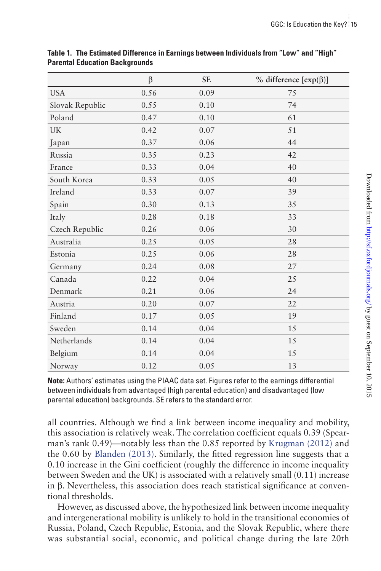|                 | $\beta$ | <b>SE</b> | % difference $[exp(\beta)]$ |
|-----------------|---------|-----------|-----------------------------|
| <b>USA</b>      | 0.56    | 0.09      | 75                          |
| Slovak Republic | 0.55    | 0.10      | 74                          |
| Poland          | 0.47    | 0.10      | 61                          |
| <b>UK</b>       | 0.42    | 0.07      | 51                          |
| Japan           | 0.37    | 0.06      | 44                          |
| Russia          | 0.35    | 0.23      | 42                          |
| France          | 0.33    | 0.04      | 40                          |
| South Korea     | 0.33    | 0.05      | 40                          |
| Ireland         | 0.33    | 0.07      | 39                          |
| Spain           | 0.30    | 0.13      | 35                          |
| Italy           | 0.28    | 0.18      | 33                          |
| Czech Republic  | 0.26    | 0.06      | 30                          |
| Australia       | 0.25    | 0.05      | 28                          |
| Estonia         | 0.25    | 0.06      | 28                          |
| Germany         | 0.24    | 0.08      | 27                          |
| Canada          | 0.22    | 0.04      | 25                          |
| Denmark         | 0.21    | 0.06      | 24                          |
| Austria         | 0.20    | 0.07      | 22                          |
| Finland         | 0.17    | 0.05      | 19                          |
| Sweden          | 0.14    | 0.04      | 15                          |
| Netherlands     | 0.14    | 0.04      | 15                          |
| Belgium         | 0.14    | 0.04      | 15                          |
| Norway          | 0.12    | 0.05      | 13                          |

<span id="page-14-0"></span>**Table 1. The Estimated Difference in Earnings between Individuals from "Low" and "High" Parental Education Backgrounds**

**Note:** Authors' estimates using the PIAAC data set. Figures refer to the earnings differential between individuals from advantaged (high parental education) and disadvantaged (low parental education) backgrounds. SE refers to the standard error.

all countries. Although we find a link between income inequality and mobility, this association is relatively weak. The correlation coefficient equals 0.39 (Spearman's rank 0.49)—notably less than the 0.85 reported by [Krugman \(2012\)](#page-28-19) and the 0.60 by [Blanden \(2013\).](#page-26-5) Similarly, the fitted regression line suggests that a 0.10 increase in the Gini coefficient (roughly the difference in income inequality between Sweden and the UK) is associated with a relatively small (0.11) increase in β. Nevertheless, this association does reach statistical significance at conventional thresholds.

However, as discussed above, the hypothesized link between income inequality and intergenerational mobility is unlikely to hold in the transitional economies of Russia, Poland, Czech Republic, Estonia, and the Slovak Republic, where there was substantial social, economic, and political change during the late 20th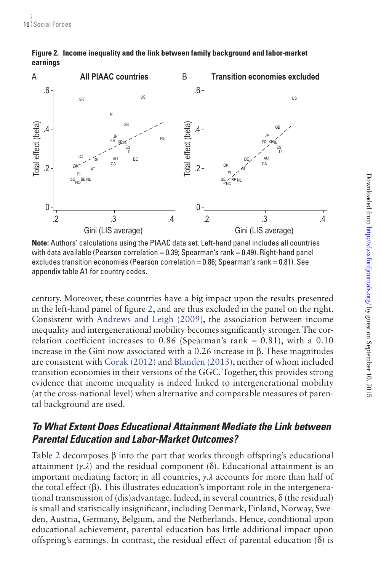

<span id="page-15-0"></span>**Figure 2. Income inequality and the link between family background and labor-market earnings**

**Note:** Authors' calculations using the PIAAC data set. Left-hand panel includes all countries with data available (Pearson correlation =  $0.39$ ; Spearman's rank =  $0.49$ ). Right-hand panel excludes transition economies (Pearson correlation = 0.86; Spearman's rank = 0.81). See appendix table A1 for country codes.

century. Moreover, these countries have a big impact upon the results presented in the left-hand panel of figure [2](#page-15-0), and are thus excluded in the panel on the right. Consistent with [Andrews and Leigh \(2009\)](#page-26-16), the association between income inequality and intergenerational mobility becomes significantly stronger. The correlation coefficient increases to  $0.86$  (Spearman's rank =  $0.81$ ), with a  $0.10$ increase in the Gini now associated with a 0.26 increase in β. These magnitudes are consistent with [Corak \(2012\)](#page-26-17) and [Blanden \(2013\),](#page-26-5) neither of whom included transition economies in their versions of the GGC. Together, this provides strong evidence that income inequality is indeed linked to intergenerational mobility (at the cross-national level) when alternative and comparable measures of parental background are used.

#### *To What Extent Does Educational Attainment Mediate the Link between Parental Education and Labor-Market Outcomes?*

Table [2](#page-16-0) decomposes  $\beta$  into the part that works through offspring's educational attainment  $(y.\lambda)$  and the residual component  $(\delta)$ . Educational attainment is an important mediating factor; in all countries, *γ*.*λ* accounts for more than half of the total effect  $(β)$ . This illustrates education's important role in the intergenerational transmission of (dis)advantage. Indeed, in several countries,  $\delta$  (the residual) is small and statistically insignificant, including Denmark, Finland, Norway, Sweden, Austria, Germany, Belgium, and the Netherlands. Hence, conditional upon educational achievement, parental education has little additional impact upon offspring's earnings. In contrast, the residual effect of parental education  $(\delta)$  is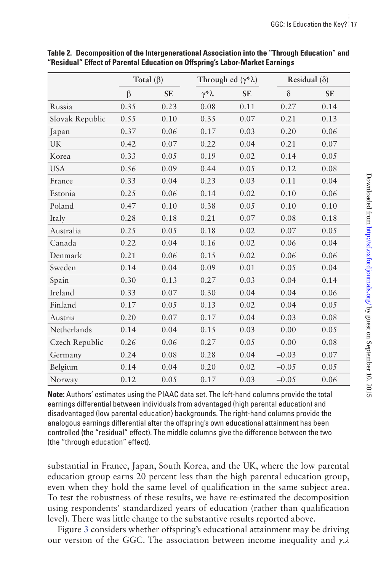|                 | Total $(\beta)$ |           |                   | Through ed $(\gamma^*\lambda)$ |          | Residual $(\delta)$ |  |
|-----------------|-----------------|-----------|-------------------|--------------------------------|----------|---------------------|--|
|                 | $\beta$         | <b>SE</b> | $\gamma^*\lambda$ | <b>SE</b>                      | $\delta$ | <b>SE</b>           |  |
| Russia          | 0.35            | 0.23      | 0.08              | 0.11                           | 0.27     | 0.14                |  |
| Slovak Republic | 0.55            | 0.10      | 0.35              | 0.07                           | 0.21     | 0.13                |  |
| Japan           | 0.37            | 0.06      | 0.17              | 0.03                           | 0.20     | 0.06                |  |
| UK              | 0.42            | 0.07      | 0.22              | 0.04                           | 0.21     | 0.07                |  |
| Korea           | 0.33            | 0.05      | 0.19              | 0.02                           | 0.14     | 0.05                |  |
| <b>USA</b>      | 0.56            | 0.09      | 0.44              | 0.05                           | 0.12     | 0.08                |  |
| France          | 0.33            | 0.04      | 0.23              | 0.03                           | 0.11     | 0.04                |  |
| Estonia         | 0.25            | 0.06      | 0.14              | 0.02                           | 0.10     | 0.06                |  |
| Poland          | 0.47            | 0.10      | 0.38              | 0.05                           | 0.10     | 0.10                |  |
| Italy           | 0.28            | 0.18      | 0.21              | 0.07                           | 0.08     | 0.18                |  |
| Australia       | 0.25            | 0.05      | 0.18              | 0.02                           | 0.07     | 0.05                |  |
| Canada          | 0.22            | 0.04      | 0.16              | 0.02                           | 0.06     | 0.04                |  |
| Denmark         | 0.21            | 0.06      | 0.15              | 0.02                           | 0.06     | 0.06                |  |
| Sweden          | 0.14            | 0.04      | 0.09              | 0.01                           | 0.05     | 0.04                |  |
| Spain           | 0.30            | 0.13      | 0.27              | 0.03                           | 0.04     | 0.14                |  |
| Ireland         | 0.33            | 0.07      | 0.30              | 0.04                           | 0.04     | 0.06                |  |
| Finland         | 0.17            | 0.05      | 0.13              | 0.02                           | 0.04     | 0.05                |  |
| Austria         | 0.20            | 0.07      | 0.17              | 0.04                           | 0.03     | 0.08                |  |
| Netherlands     | 0.14            | 0.04      | 0.15              | 0.03                           | 0.00     | 0.05                |  |
| Czech Republic  | 0.26            | 0.06      | 0.27              | 0.05                           | 0.00     | 0.08                |  |
| Germany         | 0.24            | 0.08      | 0.28              | 0.04                           | $-0.03$  | 0.07                |  |
| Belgium         | 0.14            | 0.04      | 0.20              | 0.02                           | $-0.05$  | 0.05                |  |
| Norway          | 0.12            | 0.05      | 0.17              | 0.03                           | $-0.05$  | 0.06                |  |

<span id="page-16-0"></span>**Table 2. Decomposition of the Intergenerational Association into the "Through Education" and "Residual" Effect of Parental Education on Offspring's Labor-Market Earning***s*

**Note:** Authors' estimates using the PIAAC data set. The left-hand columns provide the total earnings differential between individuals from advantaged (high parental education) and disadvantaged (low parental education) backgrounds. The right-hand columns provide the analogous earnings differential after the offspring's own educational attainment has been controlled (the "residual" effect). The middle columns give the difference between the two (the "through education" effect).

substantial in France, Japan, South Korea, and the UK, where the low parental education group earns 20 percent less than the high parental education group, even when they hold the same level of qualification in the same subject area. To test the robustness of these results, we have re-estimated the decomposition using respondents' standardized years of education (rather than qualification level). There was little change to the substantive results reported above.

Figure [3](#page-17-0) considers whether offspring's educational attainment may be driving our version of the GGC. The association between income inequality and *γ*.*λ*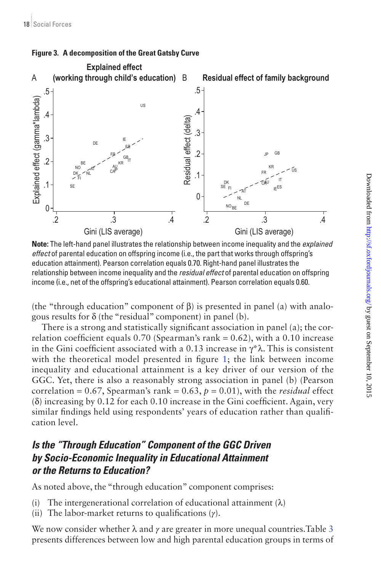<span id="page-17-0"></span>



**Note:** The left-hand panel illustrates the relationship between income inequality and the *explained effect* of parental education on offspring income (i.e., the part that works through offspring's education attainment). Pearson correlation equals 0.70. Right-hand panel illustrates the relationship between income inequality and the *residual effect* of parental education on offspring income (i.e., net of the offspring's educational attainment). Pearson correlation equals 0.60.

(the "through education" component of β) is presented in panel (a) with analogous results for  $\delta$  (the "residual" component) in panel (b).

There is a strong and statistically significant association in panel (a); the correlation coefficient equals  $0.70$  (Spearman's rank =  $0.62$ ), with a  $0.10$  increase in the Gini coefficient associated with a 0.13 increase in  $\gamma^* \lambda$ . This is consistent with the theoretical model presented in figure [1;](#page-5-0) the link between income inequality and educational attainment is a key driver of our version of the GGC. Yet, there is also a reasonably strong association in panel (b) (Pearson correlation =  $0.67$ , Spearman's rank =  $0.63$ ,  $p = 0.01$ ), with the *residual* effect (δ) increasing by 0.12 for each 0.10 increase in the Gini coefficient. Again, very similar findings held using respondents' years of education rather than qualification level.

#### *Is the "Through Education" Component of the GGC Driven by Socio-Economic Inequality in Educational Attainment or the Returns to Education?*

As noted above, the "through education" component comprises:

- (i) The intergenerational correlation of educational attainment  $(\lambda)$
- (ii) The labor-market returns to qualifications (*γ*).

We now consider whether λ and *γ* are greater in more unequal countries.Table [3](#page-18-0) presents differences between low and high parental education groups in terms of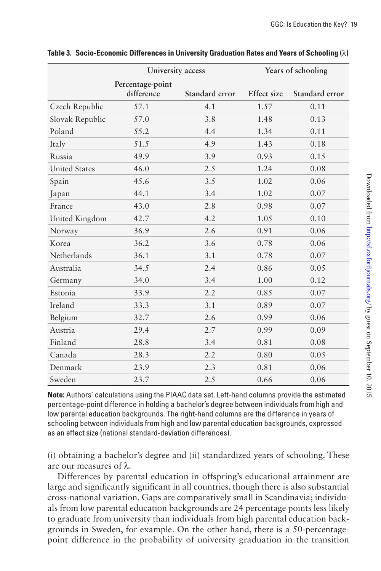|                      | University access              |                | Years of schooling |                |  |
|----------------------|--------------------------------|----------------|--------------------|----------------|--|
|                      | Percentage-point<br>difference | Standard error | <b>Effect</b> size | Standard error |  |
| Czech Republic       | 57.1                           | 4.1            | 1.57               | 0.11           |  |
| Slovak Republic      | 57.0                           | 3.8            | 1.48               | 0.13           |  |
| Poland               | 55.2                           | 4.4            | 1.34               | 0.11           |  |
| Italy                | 51.5                           | 4.9            | 1.43               | 0.18           |  |
| Russia               | 49.9                           | 3.9            | 0.93               | 0.15           |  |
| <b>United States</b> | 46.0                           | 2.5            | 1.24               | 0.08           |  |
| Spain                | 45.6                           | 3.5            | 1.02               | 0.06           |  |
| Japan                | 44.1                           | 3.4            | 1.02               | 0.07           |  |
| France               | 43.0                           | 2.8            | 0.98               | 0.07           |  |
| United Kingdom       | 42.7                           | 4.2            | 1.05               | 0.10           |  |
| Norway               | 36.9                           | 2.6            | 0.91               | 0.06           |  |
| Korea                | 36.2                           | 3.6            | 0.78               | 0.06           |  |
| Netherlands          | 36.1                           | 3.1            | 0.78               | 0.07           |  |
| Australia            | 34.5                           | 2.4            | 0.86               | 0.05           |  |
| Germany              | 34.0                           | 3.4            | 1.00               | 0.12           |  |
| Estonia              | 33.9                           | 2.2            | 0.85               | 0.07           |  |
| Ireland              | 33.3                           | 3.1            | 0.89               | 0.07           |  |
| Belgium              | 32.7                           | 2.6            | 0.99               | 0.06           |  |
| Austria              | 29.4                           | 2.7            | 0.99               | 0.09           |  |
| Finland              | 28.8                           | 3.4            | 0.81               | 0.08           |  |
| Canada               | 28.3                           | 2.2            | 0.80               | 0.05           |  |
| Denmark              | 23.9                           | 2.3            | 0.81               | 0.06           |  |
| Sweden               | 23.7                           | 2.5            | 0.66               | 0.06           |  |

<span id="page-18-0"></span>**Table 3. Socio-Economic Differences in University Graduation Rates and Years of Schooling (**λ**)**

**Note:** Authors' calculations using the PIAAC data set. Left-hand columns provide the estimated percentage-point difference in holding a bachelor's degree between individuals from high and low parental education backgrounds. The right-hand columns are the difference in years of schooling between individuals from high and low parental education backgrounds, expressed as an effect size (national standard-deviation differences).

(i) obtaining a bachelor's degree and (ii) standardized years of schooling. These are our measures of λ.

Differences by parental education in offspring's educational attainment are large and significantly significant in all countries, though there is also substantial cross-national variation. Gaps are comparatively small in Scandinavia; individuals from low parental education backgrounds are 24 percentage points less likely to graduate from university than individuals from high parental education backgrounds in Sweden, for example. On the other hand, there is a 50-percentagepoint difference in the probability of university graduation in the transition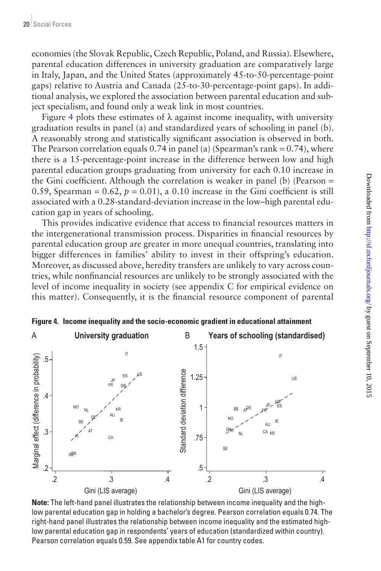economies (the Slovak Republic, Czech Republic, Poland, and Russia). Elsewhere, parental education differences in university graduation are comparatively large in Italy, Japan, and the United States (approximately 45-to-50-percentage-point gaps) relative to Austria and Canada (25-to-30-percentage-point gaps). In additional analysis, we explored the association between parental education and subject specialism, and found only a weak link in most countries.

Figure [4](#page-19-0) plots these estimates of  $\lambda$  against income inequality, with university graduation results in panel (a) and standardized years of schooling in panel (b). A reasonably strong and statistically significant association is observed in both. The Pearson correlation equals  $0.74$  in panel (a) (Spearman's rank =  $0.74$ ), where there is a 15-percentage-point increase in the difference between low and high parental education groups graduating from university for each 0.10 increase in the Gini coefficient. Although the correlation is weaker in panel (b) (Pearson = 0.59, Spearman =  $0.62$ ,  $p = 0.01$ ), a 0.10 increase in the Gini coefficient is still associated with a 0.28-standard-deviation increase in the low–high parental education gap in years of schooling.

This provides indicative evidence that access to financial resources matters in the intergenerational transmission process. Disparities in financial resources by parental education group are greater in more unequal countries, translating into bigger differences in families' ability to invest in their offspring's education. Moreover, as discussed above, heredity transfers are unlikely to vary across countries, while nonfinancial resources are unlikely to be strongly associated with the level of income inequality in society (see appendix C for empirical evidence on this matter). Consequently, it is the financial resource component of parental



<span id="page-19-0"></span>**Figure 4. Income inequality and the socio-economic gradient in educational attainment**

**Note:** The left-hand panel illustrates the relationship between income inequality and the highlow parental education gap in holding a bachelor's degree. Pearson correlation equals 0.74. The right-hand panel illustrates the relationship between income inequality and the estimated highlow parental education gap in respondents' years of education (standardized within country). Pearson correlation equals 0.59. See appendix table A1 for country codes.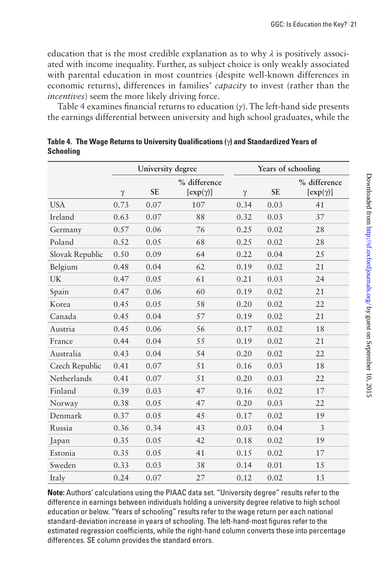education that is the most credible explanation as to why  $\lambda$  is positively associ-ated with income inequality. Further, as subject choice is only weakly associated with parental education in most countries (despite well-known differences in economic returns), differences in families' *capacity* to invest (rather than the *incentives*) seem the more likely driving force.

Table [4](#page-20-0) examines financial returns to education (*γ*). The left-hand side presents the earnings differential between university and high school graduates, while the

|                 | University degree |           |                                 | Years of schooling |           |                                 |  |
|-----------------|-------------------|-----------|---------------------------------|--------------------|-----------|---------------------------------|--|
|                 | $\gamma$          | <b>SE</b> | % difference<br>$[exp(\gamma)]$ | $\gamma$           | <b>SE</b> | % difference<br>$[exp(\gamma)]$ |  |
| <b>USA</b>      | 0.73              | 0.07      | 107                             | 0.34               | 0.03      | 41                              |  |
| Ireland         | 0.63              | 0.07      | 88                              | 0.32               | 0.03      | 37                              |  |
| Germany         | 0.57              | 0.06      | 76                              | 0.25               | 0.02      | 28                              |  |
| Poland          | 0.52              | 0.05      | 68                              | 0.25               | 0.02      | 28                              |  |
| Slovak Republic | 0.50              | 0.09      | 64                              | 0.22               | 0.04      | 25                              |  |
| Belgium         | 0.48              | 0.04      | 62                              | 0.19               | 0.02      | 21                              |  |
| UK              | 0.47              | 0.05      | 61                              | 0.21               | 0.03      | 24                              |  |
| Spain           | 0.47              | 0.06      | 60                              | 0.19               | 0.02      | 21                              |  |
| Korea           | 0.45              | 0.05      | 58                              | 0.20               | 0.02      | 22                              |  |
| Canada          | 0.45              | 0.04      | 57                              | 0.19               | 0.02      | 21                              |  |
| Austria         | 0.45              | 0.06      | 56                              | 0.17               | 0.02      | 18                              |  |
| France          | 0.44              | 0.04      | 55                              | 0.19               | 0.02      | 21                              |  |
| Australia       | 0.43              | 0.04      | 54                              | 0.20               | 0.02      | 22                              |  |
| Czech Republic  | 0.41              | 0.07      | 51                              | 0.16               | 0.03      | 18                              |  |
| Netherlands     | 0.41              | 0.07      | 51                              | 0.20               | 0.03      | 22                              |  |
| Finland         | 0.39              | 0.03      | 47                              | 0.16               | 0.02      | 17                              |  |
| Norway          | 0.38              | 0.05      | 47                              | 0.20               | 0.03      | 22                              |  |
| Denmark         | 0.37              | 0.05      | 45                              | 0.17               | 0.02      | 19                              |  |
| Russia          | 0.36              | 0.34      | 43                              | 0.03               | 0.04      | $\overline{3}$                  |  |
| Japan           | 0.35              | 0.05      | 42                              | 0.18               | 0.02      | 19                              |  |
| Estonia         | 0.35              | 0.05      | 41                              | 0.15               | 0.02      | 17                              |  |
| Sweden          | 0.33              | 0.03      | 38                              | 0.14               | 0.01      | 15                              |  |
| Italy           | 0.24              | 0.07      | 27                              | 0.12               | 0.02      | 13                              |  |

<span id="page-20-0"></span>**Table 4. The Wage Returns to University Qualifications (**γ**) and Standardized Years of Schooling**

**Note:** Authors' calculations using the PIAAC data set. "University degree" results refer to the difference in earnings between individuals holding a university degree relative to high school education or below. "Years of schooling" results refer to the wage return per each national standard-deviation increase in years of schooling. The left-hand-most figures refer to the estimated regression coefficients, while the right-hand column converts these into percentage differences. SE column provides the standard errors.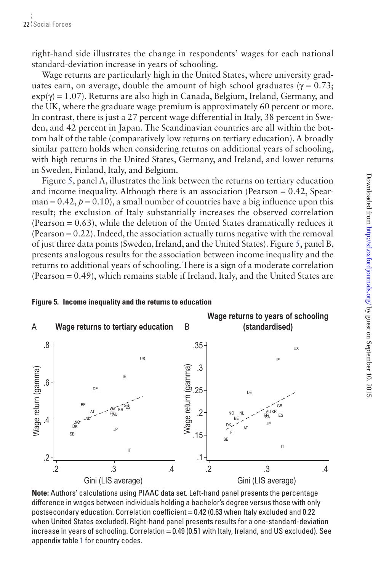right-hand side illustrates the change in respondents' wages for each national standard-deviation increase in years of schooling.

Wage returns are particularly high in the United States, where university graduates earn, on average, double the amount of high school graduates ( $\gamma = 0.73$ ;  $\exp(\gamma) = 1.07$ . Returns are also high in Canada, Belgium, Ireland, Germany, and the UK, where the graduate wage premium is approximately 60 percent or more. In contrast, there is just a 27 percent wage differential in Italy, 38 percent in Sweden, and 42 percent in Japan. The Scandinavian countries are all within the bottom half of the table (comparatively low returns on tertiary education). A broadly similar pattern holds when considering returns on additional years of schooling, with high returns in the United States, Germany, and Ireland, and lower returns in Sweden, Finland, Italy, and Belgium.

Figure [5](#page-21-0), panel A, illustrates the link between the returns on tertiary education and income inequality. Although there is an association (Pearson = 0.42, Spearman =  $0.42$ ,  $p = 0.10$ ), a small number of countries have a big influence upon this result; the exclusion of Italy substantially increases the observed correlation (Pearson = 0.63), while the deletion of the United States dramatically reduces it (Pearson = 0.22). Indeed, the association actually turns negative with the removal of just three data points (Sweden, Ireland, and the United States). Figure [5](#page-21-0), panel B, presents analogous results for the association between income inequality and the returns to additional years of schooling. There is a sign of a moderate correlation (Pearson = 0.49), which remains stable if Ireland, Italy, and the United States are



#### <span id="page-21-0"></span>**Figure 5. Income inequality and the returns to education**

**Note:** Authors' calculations using PIAAC data set. Left-hand panel presents the percentage difference in wages between individuals holding a bachelor's degree versus those with only postsecondary education. Correlation coefficient  $= 0.42$  (0.63 when Italy excluded and 0.22 when United States excluded). Right-hand panel presents results for a one-standard-deviation increase in years of schooling. Correlation = 0.49 (0.51 with Italy, Ireland, and US excluded). See appendix table [1](#page-14-0) for country codes.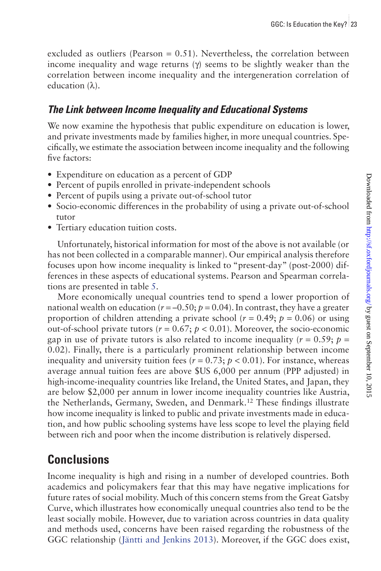excluded as outliers (Pearson  $= 0.51$ ). Nevertheless, the correlation between income inequality and wage returns  $(\gamma)$  seems to be slightly weaker than the correlation between income inequality and the intergeneration correlation of education (λ).

#### *The Link between Income Inequality and Educational Systems*

We now examine the hypothesis that public expenditure on education is lower, and private investments made by families higher, in more unequal countries. Specifically, we estimate the association between income inequality and the following five factors:

- Expenditure on education as a percent of GDP
- Percent of pupils enrolled in private-independent schools
- Percent of pupils using a private out-of-school tutor
- Socio-economic differences in the probability of using a private out-of-school tutor
- Tertiary education tuition costs.

Unfortunately, historical information for most of the above is not available (or has not been collected in a comparable manner). Our empirical analysis therefore focuses upon how income inequality is linked to "present-day" (post-2000) differences in these aspects of educational systems. Pearson and Spearman correlations are presented in table [5.](#page-23-0)

More economically unequal countries tend to spend a lower proportion of national wealth on education ( $r = -0.50$ ;  $p = 0.04$ ). In contrast, they have a greater proportion of children attending a private school ( $r = 0.49$ ;  $p = 0.06$ ) or using out-of-school private tutors ( $r = 0.67$ ;  $p < 0.01$ ). Moreover, the socio-economic gap in use of private tutors is also related to income inequality ( $r = 0.59$ ;  $p =$ 0.02). Finally, there is a particularly prominent relationship between income inequality and university tuition fees ( $r = 0.73$ ;  $p < 0.01$ ). For instance, whereas average annual tuition fees are above \$US 6,000 per annum (PPP adjusted) in high-income-inequality countries like Ireland, the United States, and Japan, they are below \$2,000 per annum in lower income inequality countries like Austria, the Netherlands, Germany, Sweden, and Denmark.12 These findings illustrate how income inequality is linked to public and private investments made in education, and how public schooling systems have less scope to level the playing field between rich and poor when the income distribution is relatively dispersed.

# **Conclusions**

Income inequality is high and rising in a number of developed countries. Both academics and policymakers fear that this may have negative implications for future rates of social mobility. Much of this concern stems from the Great Gatsby Curve, which illustrates how economically unequal countries also tend to be the least socially mobile. However, due to variation across countries in data quality and methods used, concerns have been raised regarding the robustness of the GGC relationship ([Jäntti and Jenkins 2013\)](#page-28-6). Moreover, if the GGC does exist,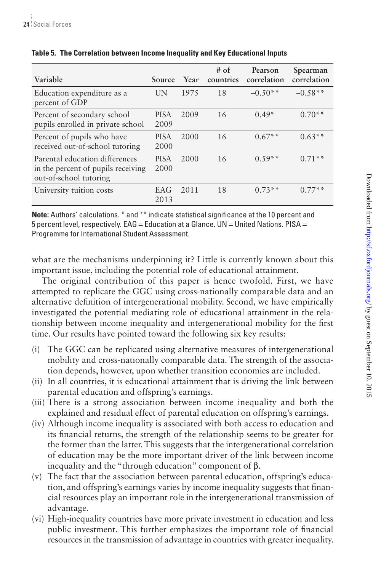| Variable                                                                                       | Source              | Year | $#$ of<br>countries | Pearson<br>correlation | Spearman<br>correlation |
|------------------------------------------------------------------------------------------------|---------------------|------|---------------------|------------------------|-------------------------|
| Education expenditure as a<br>percent of GDP                                                   | <b>UN</b>           | 1975 | 18                  | $-0.50**$              | $-0.58**$               |
| Percent of secondary school<br>pupils enrolled in private school                               | <b>PISA</b><br>2009 | 2009 | 16                  | $0.49*$                | $0.70**$                |
| Percent of pupils who have<br>received out-of-school tutoring                                  | <b>PISA</b><br>2000 | 2000 | 16                  | $0.67**$               | $0.63**$                |
| Parental education differences<br>in the percent of pupils receiving<br>out-of-school tutoring | <b>PISA</b><br>2000 | 2000 | 16                  | $0.59**$               | $0.71**$                |
| University tuition costs                                                                       | EAG<br>2013         | 2011 | 18                  | $0.73**$               | $0.77**$                |

#### <span id="page-23-0"></span>**Table 5. The Correlation between Income Inequality and Key Educational Inputs**

**Note:** Authors' calculations. \* and \*\* indicate statistical significance at the 10 percent and 5 percent level, respectively.  $EAG =$  Education at a Glance. UN = United Nations. PISA = Programme for International Student Assessment.

what are the mechanisms underpinning it? Little is currently known about this important issue, including the potential role of educational attainment.

The original contribution of this paper is hence twofold. First, we have attempted to replicate the GGC using cross-nationally comparable data and an alternative definition of intergenerational mobility. Second, we have empirically investigated the potential mediating role of educational attainment in the relationship between income inequality and intergenerational mobility for the first time. Our results have pointed toward the following six key results:

- (i) The GGC can be replicated using alternative measures of intergenerational mobility and cross-nationally comparable data. The strength of the association depends, however, upon whether transition economies are included.
- (ii) In all countries, it is educational attainment that is driving the link between parental education and offspring's earnings.
- (iii) There is a strong association between income inequality and both the explained and residual effect of parental education on offspring's earnings.
- (iv) Although income inequality is associated with both access to education and its financial returns, the strength of the relationship seems to be greater for the former than the latter. This suggests that the intergenerational correlation of education may be the more important driver of the link between income inequality and the "through education" component of β.
- (v) The fact that the association between parental education, offspring's education, and offspring's earnings varies by income inequality suggests that financial resources play an important role in the intergenerational transmission of advantage.
- (vi) High-inequality countries have more private investment in education and less public investment. This further emphasizes the important role of financial resources in the transmission of advantage in countries with greater inequality.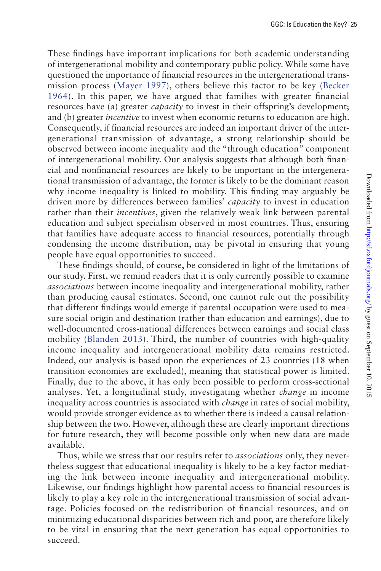These findings have important implications for both academic understanding of intergenerational mobility and contemporary public policy. While some have questioned the importance of financial resources in the intergenerational transmission process [\(Mayer 1997](#page-28-20)), others believe this factor to be key ([Becker](#page-26-10)  [1964](#page-26-10)). In this paper, we have argued that families with greater financial resources have (a) greater *capacity* to invest in their offspring's development; and (b) greater *incentive* to invest when economic returns to education are high. Consequently, if financial resources are indeed an important driver of the intergenerational transmission of advantage, a strong relationship should be observed between income inequality and the "through education" component of intergenerational mobility. Our analysis suggests that although both financial and nonfinancial resources are likely to be important in the intergenerational transmission of advantage, the former is likely to be the dominant reason why income inequality is linked to mobility. This finding may arguably be driven more by differences between families' *capacity* to invest in education rather than their *incentives*, given the relatively weak link between parental education and subject specialism observed in most countries. Thus, ensuring that families have adequate access to financial resources, potentially through condensing the income distribution, may be pivotal in ensuring that young people have equal opportunities to succeed.

These findings should, of course, be considered in light of the limitations of our study. First, we remind readers that it is only currently possible to examine *associations* between income inequality and intergenerational mobility, rather than producing causal estimates. Second, one cannot rule out the possibility that different findings would emerge if parental occupation were used to measure social origin and destination (rather than education and earnings), due to well-documented cross-national differences between earnings and social class mobility ([Blanden 2013\)](#page-26-5). Third, the number of countries with high-quality income inequality and intergenerational mobility data remains restricted. Indeed, our analysis is based upon the experiences of 23 countries (18 when transition economies are excluded), meaning that statistical power is limited. Finally, due to the above, it has only been possible to perform cross-sectional analyses. Yet, a longitudinal study, investigating whether *change* in income inequality across countries is associated with *change* in rates of social mobility, would provide stronger evidence as to whether there is indeed a causal relationship between the two. However, although these are clearly important directions for future research, they will become possible only when new data are made available.

Thus, while we stress that our results refer to *associations* only, they nevertheless suggest that educational inequality is likely to be a key factor mediating the link between income inequality and intergenerational mobility. Likewise, our findings highlight how parental access to financial resources is likely to play a key role in the intergenerational transmission of social advantage. Policies focused on the redistribution of financial resources, and on minimizing educational disparities between rich and poor, are therefore likely to be vital in ensuring that the next generation has equal opportunities to succeed.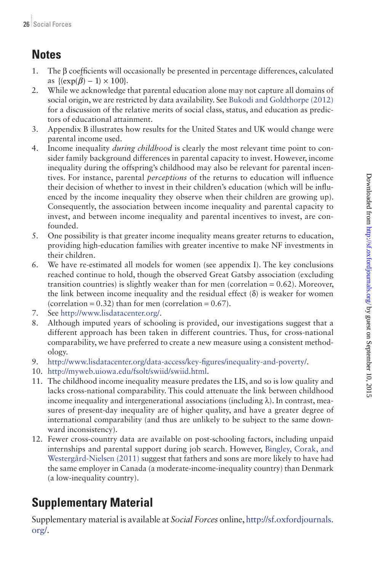# **Notes**

- 1. The β coefficients will occasionally be presented in percentage differences, calculated  $rac{\mu}{\cos \left( \frac{\exp(\hat{\beta}) - 1}{x}\right)}$  × 100.
- 2. While we acknowledge that parental education alone may not capture all domains of social origin, we are restricted by data availability. See [Bukodi and Goldthorpe \(2012\)](#page-26-9) for a discussion of the relative merits of social class, status, and education as predictors of educational attainment.
- 3. Appendix B illustrates how results for the United States and UK would change were parental income used.
- 4. Income inequality *during childhood* is clearly the most relevant time point to consider family background differences in parental capacity to invest. However, income inequality during the offspring's childhood may also be relevant for parental incentives. For instance, parental *perceptions* of the returns to education will influence their decision of whether to invest in their children's education (which will be influenced by the income inequality they observe when their children are growing up). Consequently, the association between income inequality and parental capacity to invest, and between income inequality and parental incentives to invest, are confounded.
- 5. One possibility is that greater income inequality means greater returns to education, providing high-education families with greater incentive to make NF investments in their children.
- 6. We have re-estimated all models for women (see appendix I). The key conclusions reached continue to hold, though the observed Great Gatsby association (excluding transition countries) is slightly weaker than for men (correlation = 0.62). Moreover, the link between income inequality and the residual effect  $(\delta)$  is weaker for women (correlation =  $0.32$ ) than for men (correlation =  $0.67$ ).
- 7. See [http://www.lisdatacenter.org/.](http://www.lisdatacenter.org/)
- 8. Although imputed years of schooling is provided, our investigations suggest that a different approach has been taken in different countries. Thus, for cross-national comparability, we have preferred to create a new measure using a consistent methodology.
- 9. [http://www.lisdatacenter.org/data-access/key-figures/inequality-and-poverty/.](http://www.lisdatacenter.org/data-access/key-figures/inequality-and-poverty/)
- 10. [http://myweb.uiowa.edu/fsolt/swiid/swiid.html.](http://myweb.uiowa.edu/fsolt/swiid/swiid.html)
- 11. The childhood income inequality measure predates the LIS, and so is low quality and lacks cross-national comparability. This could attenuate the link between childhood income inequality and intergenerational associations (including  $\lambda$ ). In contrast, measures of present-day inequality are of higher quality, and have a greater degree of international comparability (and thus are unlikely to be subject to the same downward inconsistency).
- 12. Fewer cross-country data are available on post-schooling factors, including unpaid internships and parental support during job search. However, [Bingley, Corak, and](#page-26-18) [Westergård-Nielsen \(2011\)](#page-26-18) suggest that fathers and sons are more likely to have had the same employer in Canada (a moderate-income-inequality country) than Denmark (a low-inequality country).

# **Supplementary Material**

Supplementary material is available at *Social Forces* online, [http://sf.oxfordjournals.](http://sf.oxfordjournals.org/lookup/suppl/doi:10.1093/sf/sou108/-/DC1) [org/](http://sf.oxfordjournals.org/lookup/suppl/doi:10.1093/sf/sou108/-/DC1).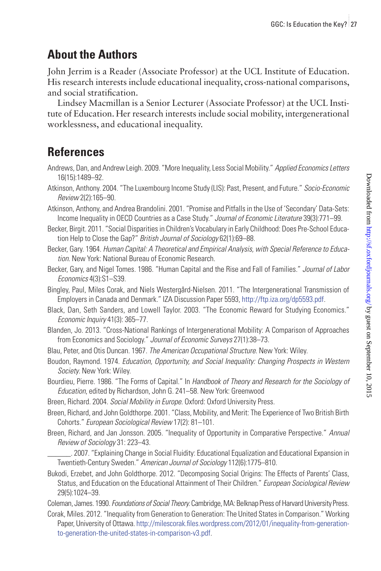# **About the Authors**

John Jerrim is a Reader (Associate Professor) at the UCL Institute of Education. His research interests include educational inequality, cross-national comparisons, and social stratification.

Lindsey Macmillan is a Senior Lecturer (Associate Professor) at the UCL Institute of Education. Her research interests include social mobility, intergenerational worklessness, and educational inequality.

# **References**

- <span id="page-26-16"></span>Andrews, Dan, and Andrew Leigh. 2009. "More Inequality, Less Social Mobility." *Applied Economics Letters* 16(15):1489–92.
- <span id="page-26-14"></span>Atkinson, Anthony. 2004. "The Luxembourg Income Study (LIS): Past, Present, and Future." *Socio-Economic Review* 2(2):165–90.
- <span id="page-26-15"></span>Atkinson, Anthony, and Andrea Brandolini. 2001. "Promise and Pitfalls in the Use of 'Secondary' Data-Sets: Income Inequality in OECD Countries as a Case Study." *Journal of Economic Literature* 39(3):771–99.
- <span id="page-26-8"></span>Becker, Birgit. 2011. "Social Disparities in Children's Vocabulary in Early Childhood: Does Pre-School Education Help to Close the Gap?" *British Journal of Sociology* 62(1):69–88.
- <span id="page-26-10"></span>Becker, Gary. 1964. *Human Capital: A Theoretical and Empirical Analysis, with Special Reference to Education*. New York: National Bureau of Economic Research.
- <span id="page-26-1"></span>Becker, Gary, and Nigel Tomes. 1986. "Human Capital and the Rise and Fall of Families." *Journal of Labor Economics* 4(3):S1–S39.
- <span id="page-26-18"></span>Bingley, Paul, Miles Corak, and Niels Westergård-Nielsen. 2011. "The Intergenerational Transmission of Employers in Canada and Denmark." IZA Discussion Paper 5593,<http://ftp.iza.org/dp5593.pdf>.
- <span id="page-26-13"></span>Black, Dan, Seth Sanders, and Lowell Taylor. 2003. "The Economic Reward for Studying Economics." *Economic Inquiry* 41(3): 365–77.
- <span id="page-26-5"></span>Blanden, Jo. 2013. "Cross-National Rankings of Intergenerational Mobility: A Comparison of Approaches from Economics and Sociology." *Journal of Economic Surveys* 27(1):38–73.
- <span id="page-26-0"></span>Blau, Peter, and Otis Duncan. 1967. *The American Occupational Structure*. New York: Wiley.
- <span id="page-26-6"></span>Boudon, Raymond. 1974. *Education, Opportunity, and Social Inequality: Changing Prospects in Western Society*. New York: Wiley.
- <span id="page-26-11"></span>Bourdieu, Pierre. 1986. "The Forms of Capital." In *Handbook of Theory and Research for the Sociology of Education*, edited by Richardson, John G. 241–58. New York: Greenwood
- <span id="page-26-7"></span>Breen, Richard. 2004. *Social Mobility in Europe*. Oxford: Oxford University Press.
- <span id="page-26-2"></span>Breen, Richard, and John Goldthorpe. 2001. "Class, Mobility, and Merit: The Experience of Two British Birth Cohorts." *European Sociological Review* 17(2): 81–101.
- <span id="page-26-4"></span>Breen, Richard, and Jan Jonsson. 2005. "Inequality of Opportunity in Comparative Perspective." *Annual Review of Sociology* 31: 223–43.
- <span id="page-26-3"></span>\_\_\_\_\_\_. 2007. "Explaining Change in Social Fluidity: Educational Equalization and Educational Expansion in Twentieth-Century Sweden." *American Journal of Sociology* 112(6):1775–810.
- <span id="page-26-9"></span>Bukodi, Erzebet, and John Goldthorpe. 2012. "Decomposing Social Origins: The Effects of Parents' Class, Status, and Education on the Educational Attainment of Their Children." *European Sociological Review* 29(5):1024–39.
- <span id="page-26-12"></span>Coleman, James. 1990. *Foundations of Social Theory.* Cambridge, MA: Belknap Press of Harvard University Press.
- <span id="page-26-17"></span>Corak, Miles. 2012. "Inequality from Generation to Generation: The United States in Comparison." Working Paper, University of Ottawa. [http://milescorak.files.wordpress.com/2012/01/inequality-from-generation](http://milescorak.files.wordpress.com/2012/01/inequality-from-generation-to-generation-the-united-states-in-comparison-v3.pdf)[to-generation-the-united-states-in-comparison-v3.pdf.](http://milescorak.files.wordpress.com/2012/01/inequality-from-generation-to-generation-the-united-states-in-comparison-v3.pdf)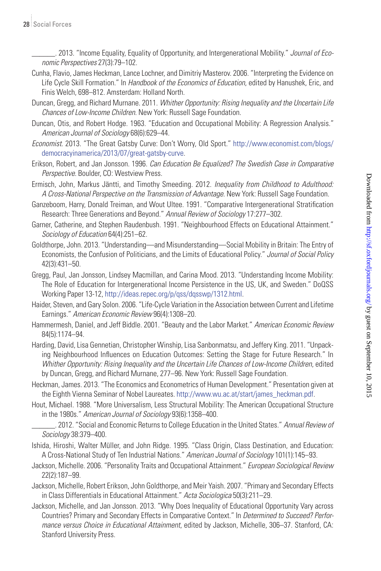<span id="page-27-9"></span>\_\_\_\_\_\_. 2013. "Income Equality, Equality of Opportunity, and Intergenerational Mobility." *Journal of Economic Perspectives* 27(3):79–102.

- <span id="page-27-10"></span>Cunha, Flavio, James Heckman, Lance Lochner, and Dimitriy Masterov. 2006. "Interpreting the Evidence on Life Cycle Skill Formation." In *Handbook of the Economics of Education*, edited by Hanushek, Eric, and Finis Welch, 698–812. Amsterdam: Holland North.
- <span id="page-27-1"></span>Duncan, Gregg, and Richard Murnane. 2011. *Whither Opportunity: Rising Inequality and the Uncertain Life Chances of Low-Income Children*. New York: Russell Sage Foundation.
- <span id="page-27-4"></span>Duncan, Otis, and Robert Hodge. 1963. "Education and Occupational Mobility: A Regression Analysis." *American Journal of Sociology* 68(6):629–44.
- <span id="page-27-3"></span>*Economist*. 2013. "The Great Gatsby Curve: Don't Worry, Old Sport." [http://www.economist.com/blogs/](http://www.economist.com/blogs/democracyinamerica/2013/07/great-gatsby-curve) [democracyinamerica/2013/07/great-gatsby-curve](http://www.economist.com/blogs/democracyinamerica/2013/07/great-gatsby-curve).
- <span id="page-27-13"></span>Erikson, Robert, and Jan Jonsson. 1996. *Can Education Be Equalized? The Swedish Case in Comparative Perspective*. Boulder, CO: Westview Press.
- <span id="page-27-0"></span>Ermisch, John, Markus Jäntti, and Timothy Smeeding. 2012. *Inequality from Childhood to Adulthood: A Cross-National Perspective on the Transmission of Advantage*. New York: Russell Sage Foundation.
- <span id="page-27-7"></span>Ganzeboom, Harry, Donald Treiman, and Wout Ultee. 1991. "Comparative Intergenerational Stratification Research: Three Generations and Beyond." *Annual Review of Sociology* 17:277–302.
- <span id="page-27-12"></span>Garner, Catherine, and Stephen Raudenbush. 1991. "Neighbourhood Effects on Educational Attainment." *Sociology of Education* 64(4):251–62.
- <span id="page-27-17"></span>Goldthorpe, John. 2013. "Understanding—and Misunderstanding—Social Mobility in Britain: The Entry of Economists, the Confusion of Politicians, and the Limits of Educational Policy." *Journal of Social Policy* 42(3):431–50.
- <span id="page-27-8"></span>Gregg, Paul, Jan Jonsson, Lindsey Macmillan, and Carina Mood. 2013. "Understanding Income Mobility: The Role of Education for Intergenerational Income Persistence in the US, UK, and Sweden." DoQSS Working Paper 13-12,<http://ideas.repec.org/p/qss/dqsswp/1312.html>.
- <span id="page-27-20"></span>Haider, Steven, and Gary Solon. 2006. "Life-Cycle Variation in the Association between Current and Lifetime Earnings." *American Economic Review* 96(4):1308–20.
- <span id="page-27-18"></span>Hammermesh, Daniel, and Jeff Biddle. 2001. "Beauty and the Labor Market." *American Economic Review* 84(5):1174–94.
- <span id="page-27-11"></span>Harding, David, Lisa Gennetian, Christopher Winship, Lisa Sanbonmatsu, and Jeffery King. 2011. "Unpacking Neighbourhood Influences on Education Outcomes: Setting the Stage for Future Research." In *Whither Opportunity: Rising Inequality and the Uncertain Life Chances of Low-Income Children*, edited by Duncan, Gregg, and Richard Murnane, 277–96. New York: Russell Sage Foundation.
- <span id="page-27-2"></span>Heckman, James. 2013. "The Economics and Econometrics of Human Development." Presentation given at the Eighth Vienna Seminar of Nobel Laureates. [http://www.wu.ac.at/start/james\\_heckman.pdf](http://www.wu.ac.at/start/james_heckman.pdf).
- <span id="page-27-16"></span><span id="page-27-5"></span>Hout, Michael. 1988. "More Universalism, Less Structural Mobility: The American Occupational Structure in the 1980s." *American Journal of Sociology* 93(6):1358–400.
	- \_\_\_\_\_\_. 2012. "Social and Economic Returns to College Education in the United States." *Annual Review of Sociology* 38:379–400.
- <span id="page-27-6"></span>Ishida, Hiroshi, Walter Müller, and John Ridge. 1995. "Class Origin, Class Destination, and Education: A Cross-National Study of Ten Industrial Nations." *American Journal of Sociology* 101(1):145–93.
- <span id="page-27-19"></span>Jackson, Michelle. 2006. "Personality Traits and Occupational Attainment." *European Sociological Review* 22(2):187–99.
- <span id="page-27-14"></span>Jackson, Michelle, Robert Erikson, John Goldthorpe, and Meir Yaish. 2007. "Primary and Secondary Effects in Class Differentials in Educational Attainment." *Acta Sociologica* 50(3):211–29.
- <span id="page-27-15"></span>Jackson, Michelle, and Jan Jonsson. 2013. "Why Does Inequality of Educational Opportunity Vary across Countries? Primary and Secondary Effects in Comparative Context." In *Determined to Succeed? Performance versus Choice in Educational Attainment*, edited by Jackson, Michelle, 306–37. Stanford, CA: Stanford University Press.